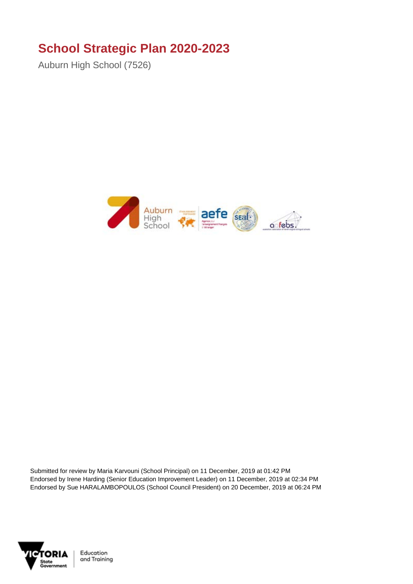## **School Strategic Plan 2020-2023**

Auburn High School (7526)



Submitted for review by Maria Karvouni (School Principal) on 11 December, 2019 at 01:42 PM Endorsed by Irene Harding (Senior Education Improvement Leader) on 11 December, 2019 at 02:34 PM Endorsed by Sue HARALAMBOPOULOS (School Council President) on 20 December, 2019 at 06:24 PM

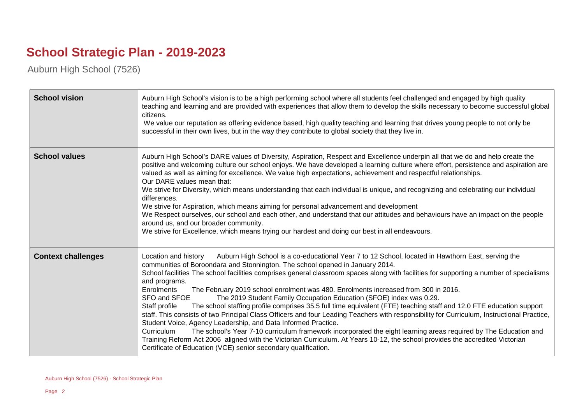## **School Strategic Plan - 2019-2023**

Auburn High School (7526)

| <b>School vision</b>      | Auburn High School's vision is to be a high performing school where all students feel challenged and engaged by high quality<br>teaching and learning and are provided with experiences that allow them to develop the skills necessary to become successful global<br>citizens.<br>We value our reputation as offering evidence based, high quality teaching and learning that drives young people to not only be<br>successful in their own lives, but in the way they contribute to global society that they live in.                                                                                                                                                                                                                                                                                                                                                                                                                                                                                                                                                                                                                                                                                                                                    |
|---------------------------|-------------------------------------------------------------------------------------------------------------------------------------------------------------------------------------------------------------------------------------------------------------------------------------------------------------------------------------------------------------------------------------------------------------------------------------------------------------------------------------------------------------------------------------------------------------------------------------------------------------------------------------------------------------------------------------------------------------------------------------------------------------------------------------------------------------------------------------------------------------------------------------------------------------------------------------------------------------------------------------------------------------------------------------------------------------------------------------------------------------------------------------------------------------------------------------------------------------------------------------------------------------|
| <b>School values</b>      | Auburn High School's DARE values of Diversity, Aspiration, Respect and Excellence underpin all that we do and help create the<br>positive and welcoming culture our school enjoys. We have developed a learning culture where effort, persistence and aspiration are<br>valued as well as aiming for excellence. We value high expectations, achievement and respectful relationships.<br>Our DARE values mean that:<br>We strive for Diversity, which means understanding that each individual is unique, and recognizing and celebrating our individual<br>differences.<br>We strive for Aspiration, which means aiming for personal advancement and development<br>We Respect ourselves, our school and each other, and understand that our attitudes and behaviours have an impact on the people<br>around us, and our broader community.<br>We strive for Excellence, which means trying our hardest and doing our best in all endeavours.                                                                                                                                                                                                                                                                                                             |
| <b>Context challenges</b> | Auburn High School is a co-educational Year 7 to 12 School, located in Hawthorn East, serving the<br>Location and history<br>communities of Boroondara and Stonnington. The school opened in January 2014.<br>School facilities The school facilities comprises general classroom spaces along with facilities for supporting a number of specialisms<br>and programs.<br>Enrolments<br>The February 2019 school enrolment was 480. Enrolments increased from 300 in 2016.<br>SFO and SFOE<br>The 2019 Student Family Occupation Education (SFOE) index was 0.29.<br>The school staffing profile comprises 35.5 full time equivalent (FTE) teaching staff and 12.0 FTE education support<br>Staff profile<br>staff. This consists of two Principal Class Officers and four Leading Teachers with responsibility for Curriculum, Instructional Practice,<br>Student Voice, Agency Leadership, and Data Informed Practice.<br>The school's Year 7-10 curriculum framework incorporated the eight learning areas required by The Education and<br>Curriculum<br>Training Reform Act 2006 aligned with the Victorian Curriculum. At Years 10-12, the school provides the accredited Victorian<br>Certificate of Education (VCE) senior secondary qualification. |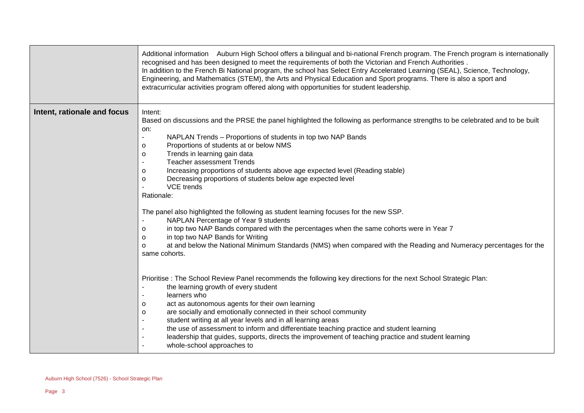|                             | Additional information Auburn High School offers a bilingual and bi-national French program. The French program is internationally<br>recognised and has been designed to meet the requirements of both the Victorian and French Authorities.<br>In addition to the French Bi National program, the school has Select Entry Accelerated Learning (SEAL), Science, Technology,<br>Engineering, and Mathematics (STEM), the Arts and Physical Education and Sport programs. There is also a sport and<br>extracurricular activities program offered along with opportunities for student leadership.                                                                                                                                                                                                                                                                                                                                                                                                           |
|-----------------------------|--------------------------------------------------------------------------------------------------------------------------------------------------------------------------------------------------------------------------------------------------------------------------------------------------------------------------------------------------------------------------------------------------------------------------------------------------------------------------------------------------------------------------------------------------------------------------------------------------------------------------------------------------------------------------------------------------------------------------------------------------------------------------------------------------------------------------------------------------------------------------------------------------------------------------------------------------------------------------------------------------------------|
| Intent, rationale and focus | Intent:<br>Based on discussions and the PRSE the panel highlighted the following as performance strengths to be celebrated and to be built<br>on:<br>NAPLAN Trends - Proportions of students in top two NAP Bands<br>Proportions of students at or below NMS<br>O<br>Trends in learning gain data<br>0<br><b>Teacher assessment Trends</b><br>$\blacksquare$<br>Increasing proportions of students above age expected level (Reading stable)<br>$\circ$<br>Decreasing proportions of students below age expected level<br>$\mathsf{o}$<br><b>VCE</b> trends<br>Rationale:<br>The panel also highlighted the following as student learning focuses for the new SSP.<br>NAPLAN Percentage of Year 9 students<br>in top two NAP Bands compared with the percentages when the same cohorts were in Year 7<br>0<br>in top two NAP Bands for Writing<br>$\Omega$<br>at and below the National Minimum Standards (NMS) when compared with the Reading and Numeracy percentages for the<br>$\Omega$<br>same cohorts. |
|                             | Prioritise: The School Review Panel recommends the following key directions for the next School Strategic Plan:<br>the learning growth of every student<br>learners who<br>act as autonomous agents for their own learning<br>$\Omega$<br>are socially and emotionally connected in their school community<br>0<br>student writing at all year levels and in all learning areas<br>the use of assessment to inform and differentiate teaching practice and student learning<br>leadership that guides, supports, directs the improvement of teaching practice and student learning<br>whole-school approaches to                                                                                                                                                                                                                                                                                                                                                                                             |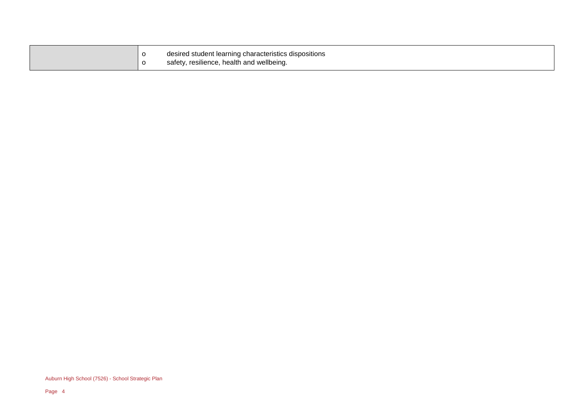| desired student learning characteristics dispositions |  |
|-------------------------------------------------------|--|
| safety, resilience, health and wellbeing.             |  |

Auburn High School (7526) - School Strategic Plan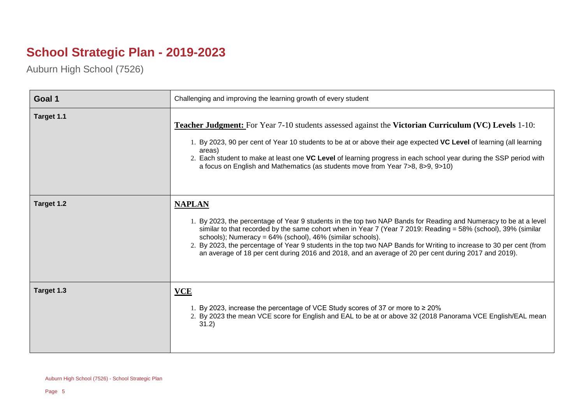## **School Strategic Plan - 2019-2023**

Auburn High School (7526)

| Goal 1     | Challenging and improving the learning growth of every student                                                                                                                                                                                                                                                                                                                                                                                                                                                                                 |
|------------|------------------------------------------------------------------------------------------------------------------------------------------------------------------------------------------------------------------------------------------------------------------------------------------------------------------------------------------------------------------------------------------------------------------------------------------------------------------------------------------------------------------------------------------------|
| Target 1.1 | <b>Teacher Judgment:</b> For Year 7-10 students assessed against the Victorian Curriculum (VC) Levels 1-10:<br>1. By 2023, 90 per cent of Year 10 students to be at or above their age expected VC Level of learning (all learning<br>areas)<br>2. Each student to make at least one VC Level of learning progress in each school year during the SSP period with<br>a focus on English and Mathematics (as students move from Year 7>8, 8>9, 9>10)                                                                                            |
| Target 1.2 | <b>NAPLAN</b><br>1. By 2023, the percentage of Year 9 students in the top two NAP Bands for Reading and Numeracy to be at a level<br>similar to that recorded by the same cohort when in Year 7 (Year 7 2019: Reading = 58% (school), 39% (similar<br>schools); Numeracy = 64% (school), 46% (similar schools).<br>2. By 2023, the percentage of Year 9 students in the top two NAP Bands for Writing to increase to 30 per cent (from<br>an average of 18 per cent during 2016 and 2018, and an average of 20 per cent during 2017 and 2019). |
| Target 1.3 | <b>VCE</b><br>1. By 2023, increase the percentage of VCE Study scores of 37 or more to $\geq 20\%$<br>2. By 2023 the mean VCE score for English and EAL to be at or above 32 (2018 Panorama VCE English/EAL mean<br>31.2)                                                                                                                                                                                                                                                                                                                      |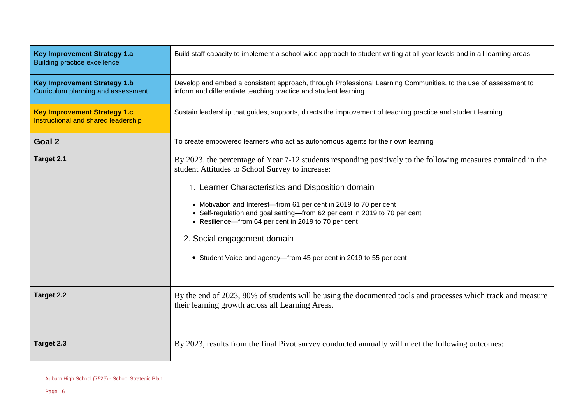| <b>Key Improvement Strategy 1.a</b><br><b>Building practice excellence</b> | Build staff capacity to implement a school wide approach to student writing at all year levels and in all learning areas                                                                                                                                                                                                                                                                                                                                                                                                               |
|----------------------------------------------------------------------------|----------------------------------------------------------------------------------------------------------------------------------------------------------------------------------------------------------------------------------------------------------------------------------------------------------------------------------------------------------------------------------------------------------------------------------------------------------------------------------------------------------------------------------------|
| <b>Key Improvement Strategy 1.b</b><br>Curriculum planning and assessment  | Develop and embed a consistent approach, through Professional Learning Communities, to the use of assessment to<br>inform and differentiate teaching practice and student learning                                                                                                                                                                                                                                                                                                                                                     |
| <b>Key Improvement Strategy 1.c</b><br>Instructional and shared leadership | Sustain leadership that guides, supports, directs the improvement of teaching practice and student learning                                                                                                                                                                                                                                                                                                                                                                                                                            |
| Goal 2                                                                     | To create empowered learners who act as autonomous agents for their own learning                                                                                                                                                                                                                                                                                                                                                                                                                                                       |
| Target 2.1                                                                 | By 2023, the percentage of Year 7-12 students responding positively to the following measures contained in the<br>student Attitudes to School Survey to increase:<br>1. Learner Characteristics and Disposition domain<br>• Motivation and Interest-from 61 per cent in 2019 to 70 per cent<br>• Self-regulation and goal setting-from 62 per cent in 2019 to 70 per cent<br>• Resilience-from 64 per cent in 2019 to 70 per cent<br>2. Social engagement domain<br>• Student Voice and agency-from 45 per cent in 2019 to 55 per cent |
| <b>Target 2.2</b>                                                          | By the end of 2023, 80% of students will be using the documented tools and processes which track and measure<br>their learning growth across all Learning Areas.                                                                                                                                                                                                                                                                                                                                                                       |
| Target 2.3                                                                 | By 2023, results from the final Pivot survey conducted annually will meet the following outcomes:                                                                                                                                                                                                                                                                                                                                                                                                                                      |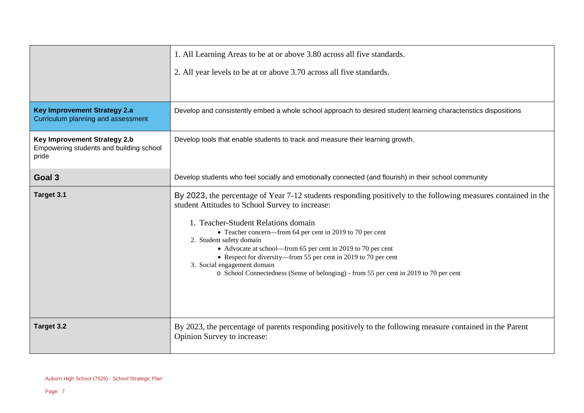|                                                                                  | 1. All Learning Areas to be at or above 3.80 across all five standards.                                                                                                                                                                                                                                                                                                                                                                                                                                                                                      |
|----------------------------------------------------------------------------------|--------------------------------------------------------------------------------------------------------------------------------------------------------------------------------------------------------------------------------------------------------------------------------------------------------------------------------------------------------------------------------------------------------------------------------------------------------------------------------------------------------------------------------------------------------------|
|                                                                                  | 2. All year levels to be at or above 3.70 across all five standards.                                                                                                                                                                                                                                                                                                                                                                                                                                                                                         |
|                                                                                  |                                                                                                                                                                                                                                                                                                                                                                                                                                                                                                                                                              |
| <b>Key Improvement Strategy 2.a</b><br>Curriculum planning and assessment        | Develop and consistently embed a whole school approach to desired student learning characteristics dispositions                                                                                                                                                                                                                                                                                                                                                                                                                                              |
| Key Improvement Strategy 2.b<br>Empowering students and building school<br>pride | Develop tools that enable students to track and measure their learning growth.                                                                                                                                                                                                                                                                                                                                                                                                                                                                               |
| Goal 3                                                                           | Develop students who feel socially and emotionally connected (and flourish) in their school community                                                                                                                                                                                                                                                                                                                                                                                                                                                        |
| Target 3.1                                                                       | By 2023, the percentage of Year 7-12 students responding positively to the following measures contained in the<br>student Attitudes to School Survey to increase:<br>1. Teacher-Student Relations domain<br>• Teacher concern—from 64 per cent in 2019 to 70 per cent<br>2. Student safety domain<br>• Advocate at school—from 65 per cent in 2019 to 70 per cent<br>• Respect for diversity—from 55 per cent in 2019 to 70 per cent<br>3. Social engagement domain<br>o School Connectedness (Sense of belonging) - from 55 per cent in 2019 to 70 per cent |
| Target 3.2                                                                       | By 2023, the percentage of parents responding positively to the following measure contained in the Parent<br>Opinion Survey to increase:                                                                                                                                                                                                                                                                                                                                                                                                                     |